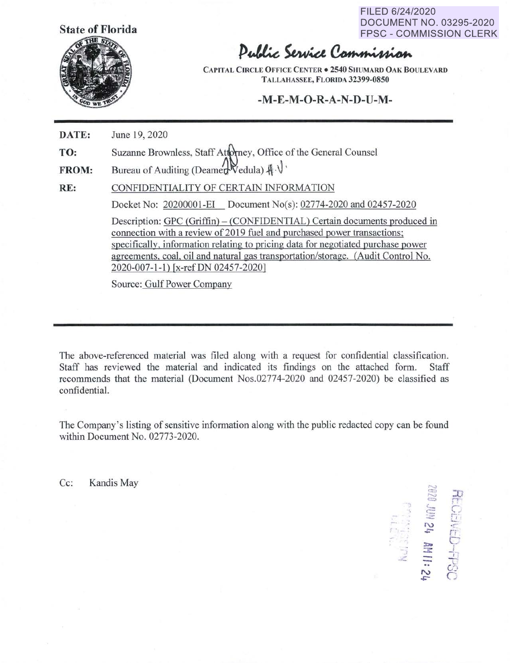**State of Florida** 



FILED 6/24/2020 **State of Florida** DOCUMENT NO. 03295-2020 FPSC - COMMISSION CLERK

Public Service Commission

**CAPITAL CIRCLE OFFICE CENTER . 2540 SHUMARD OAK BOULEVARD TALLAHASSEE, FLORIDA 32399-0850** 

## **-M-E-M-0-R-A-N-D-U-M-**

**DATE:**  June 19, 2020

**TO:**  Suzanne Brownless, Staff Attorney, Office of the General Counsel

**FROM:**  Bureau of Auditing (Deamer Vedula)  $\mathcal{H} \cdot \mathcal{V}$ .

**RE:**  CONFIDENTIALITY OF CERTAIN INFORMATION Docket No: 20200001-EI Document No(s): 02774-2020 and 02457-2020

> Description: GPC (Griffin) – (CONFIDENTIAL) Certain documents produced in connection with a review of 2019 fuel and purchased power transactions; specifically, information relating to pricing data for negotiated purchase power agreements, coal, oil and natural gas transportation/storage. {Audit Control No. 2020-007-1-1) [x-refDN 02457-2020]

Source: Gulf Power Company

The above-referenced material was filed along with a request for confidential classification. Staff has reviewed the material and indicated its findings on the attached form. Staff recommends that the material (Document Nos.02774-2020 and 02457-2020) be classified as confidential.

The Company's listing of sensitive information along with the public redacted copy can be found within Document No. 02773-2020.

 $\text{Cc:}$  Kandis May  $\approx$ 

 $\mathbb{Z}$  $\sum_{i=1}^n$ 7.<br>1924 - Paris :r.. , r-*r-* '- - *!i*  ~. r, - **X.** c- اتيا<br>**:: J. - IIIII**<br>-- 1594  $\frac{25}{5}$